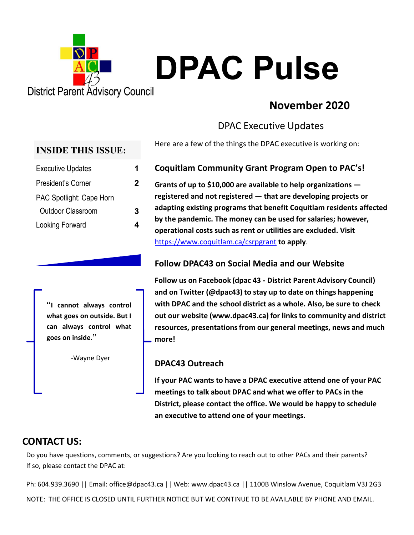

# **November 2020**

# DPAC Executive Updates

Here are a few of the things the DPAC executive is working on:

#### **Coquitlam Community Grant Program Open to PAC's!**

**Grants of up to \$10,000 are available to help organizations registered and not registered — that are developing projects or adapting existing programs that benefit Coquitlam residents affected by the pandemic. The money can be used for salaries; however, operational costs such as rent or utilities are excluded. Visit** https://www.coquitlam.ca/csrpgrant **to apply**.

#### **Follow DPAC43 on Social Media and our Website**

**Follow us on Facebook (dpac 43 ‐ District Parent Advisory Council) and on Twitter (@dpac43) to stay up to date on things happening with DPAC and the school district as a whole. Also, be sure to check out our website (www.dpac43.ca) for linksto community and district resources, presentationsfrom our general meetings, news and much more!**

### **DPAC43 Outreach**

**If your PAC wants to have a DPAC executive attend one of your PAC meetings to talk about DPAC and what we offer to PACs in the District, please contact the office. We would be happy to schedule an executive to attend one of your meetings.**

## **CONTACT US:**

Do you have questions, comments, or suggestions? Are you looking to reach out to other PACs and their parents? If so, please contact the DPAC at:

Ph: 604.939.3690 || Email: office@dpac43.ca || Web: www.dpac43.ca || 1100B Winslow Avenue, Coquitlam V3J 2G3 NOTE: THE OFFICE IS CLOSED UNTIL FURTHER NOTICE BUT WE CONTINUE TO BE AVAILABLE BY PHONE AND EMAIL.

#### **INSIDE THIS ISSUE:**

| <b>Executive Updates</b>        | 1 |
|---------------------------------|---|
| President's Corner              | 2 |
| <b>PAC Spotlight: Cape Horn</b> |   |
| Outdoor Classroom               | 3 |
| Looking Forward                 |   |
|                                 |   |

**"I cannot always control what goes on outside. But I can always control what goes on inside."** 

‐Wayne Dyer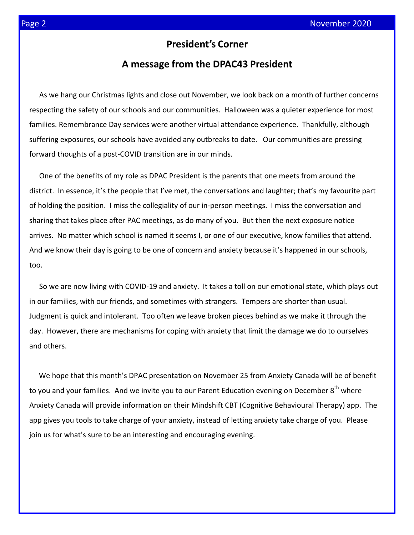## **President's Corner**

## **A message from the DPAC43 President**

As we hang our Christmas lights and close out November, we look back on a month of further concerns respecting the safety of our schools and our communities. Halloween was a quieter experience for most families. Remembrance Day services were another virtual attendance experience. Thankfully, although suffering exposures, our schools have avoided any outbreaks to date. Our communities are pressing forward thoughts of a post‐COVID transition are in our minds.

One of the benefits of my role as DPAC President is the parents that one meets from around the district. In essence, it's the people that I've met, the conversations and laughter; that's my favourite part of holding the position. I miss the collegiality of our in‐person meetings. I miss the conversation and sharing that takes place after PAC meetings, as do many of you. But then the next exposure notice arrives. No matter which school is named it seems I, or one of our executive, know families that attend. And we know their day is going to be one of concern and anxiety because it's happened in our schools, too.

So we are now living with COVID‐19 and anxiety. It takes a toll on our emotional state, which plays out in our families, with our friends, and sometimes with strangers. Tempers are shorter than usual. Judgment is quick and intolerant. Too often we leave broken pieces behind as we make it through the day. However, there are mechanisms for coping with anxiety that limit the damage we do to ourselves and others.

We hope that this month's DPAC presentation on November 25 from Anxiety Canada will be of benefit to you and your families. And we invite you to our Parent Education evening on December 8<sup>th</sup> where Anxiety Canada will provide information on their Mindshift CBT (Cognitive Behavioural Therapy) app. The app gives you tools to take charge of your anxiety, instead of letting anxiety take charge of you. Please join us for what's sure to be an interesting and encouraging evening.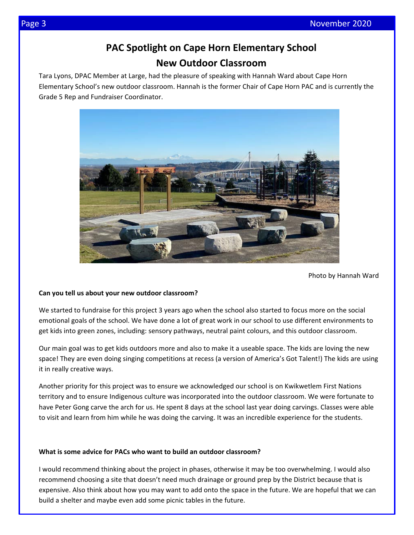# **PAC Spotlight on Cape Horn Elementary School New Outdoor Classroom**

Tara Lyons, DPAC Member at Large, had the pleasure of speaking with Hannah Ward about Cape Horn Elementary School's new outdoor classroom. Hannah is the former Chair of Cape Horn PAC and is currently the Grade 5 Rep and Fundraiser Coordinator.



Photo by Hannah Ward

#### **Can you tell us about your new outdoor classroom?**

We started to fundraise for this project 3 years ago when the school also started to focus more on the social emotional goals of the school. We have done a lot of great work in our school to use different environments to get kids into green zones, including: sensory pathways, neutral paint colours, and this outdoor classroom.

Our main goal was to get kids outdoors more and also to make it a useable space. The kids are loving the new space! They are even doing singing competitions at recess (a version of America's Got Talent!) The kids are using it in really creative ways.

Another priority for this project was to ensure we acknowledged our school is on Kwikwetlem First Nations territory and to ensure Indigenous culture was incorporated into the outdoor classroom. We were fortunate to have Peter Gong carve the arch for us. He spent 8 days at the school last year doing carvings. Classes were able to visit and learn from him while he was doing the carving. It was an incredible experience for the students.

#### **What is some advice for PACs who want to build an outdoor classroom?**

I would recommend thinking about the project in phases, otherwise it may be too overwhelming. I would also recommend choosing a site that doesn't need much drainage or ground prep by the District because that is expensive. Also think about how you may want to add onto the space in the future. We are hopeful that we can build a shelter and maybe even add some picnic tables in the future.